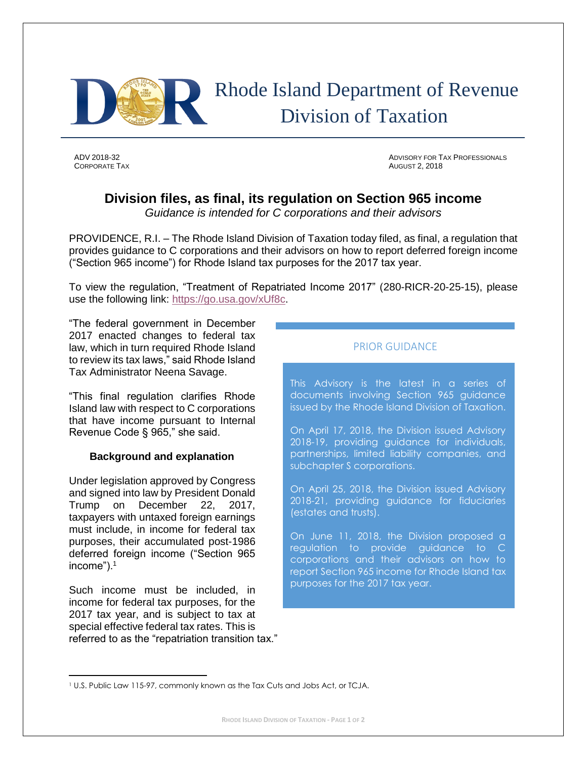

# Rhode Island Department of Revenue Division of Taxation

**CORPORATE TAX** AUGUST 2, 2018

ADV 2018-32 ADVISORY FOR TAX PROFESSIONALS

## **Division files, as final, its regulation on Section 965 income**

*Guidance is intended for C corporations and their advisors*

PROVIDENCE, R.I. – The Rhode Island Division of Taxation today filed, as final, a regulation that provides guidance to C corporations and their advisors on how to report deferred foreign income ("Section 965 income") for Rhode Island tax purposes for the 2017 tax year.

To view the regulation, "Treatment of Repatriated Income 2017" (280-RICR-20-25-15), please use the following link: [https://go.usa.gov/xUf8c.](https://go.usa.gov/xUf8c)

"The federal government in December 2017 enacted changes to federal tax law, which in turn required Rhode Island to review its tax laws," said Rhode Island Tax Administrator Neena Savage.

"This final regulation clarifies Rhode Island law with respect to C corporations that have income pursuant to Internal Revenue Code § 965," she said.

#### **Background and explanation**

Under legislation approved by Congress and signed into law by President Donald Trump on December 22, 2017, taxpayers with untaxed foreign earnings must include, in income for federal tax purposes, their accumulated post-1986 deferred foreign income ("Section 965 income").<sup>1</sup>

Such income must be included, in income for federal tax purposes, for the 2017 tax year, and is subject to tax at special effective federal tax rates. This is referred to as the "repatriation transition tax."

### PRIOR GUIDANCE

This Advisory is the latest in a series of documents involving Section 965 guidance issued by the Rhode Island Division of Taxation.

On April 17, 2018, the Division issued Advisory 2018-19, providing guidance for individuals, partnerships, limited liability companies, and subchapter S corporations.

On April 25, 2018, the Division issued Advisory 2018-21, providing guidance for fiduciaries (estates and trusts).

On June 11, 2018, the Division proposed a regulation to provide guidance to C corporations and their advisors on how to report Section 965 income for Rhode Island tax purposes for the 2017 tax year.

l <sup>1</sup> U.S. Public Law 115-97, commonly known as the Tax Cuts and Jobs Act, or TCJA.